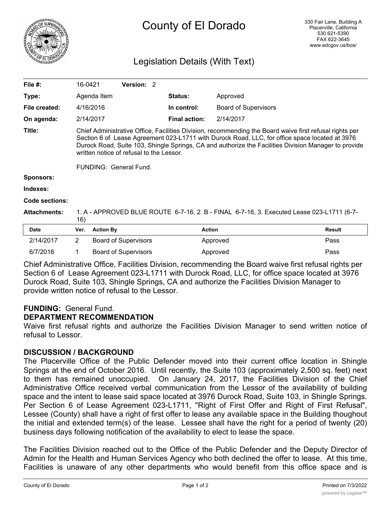

# County of El Dorado

# Legislation Details (With Text)

| File $#$ :          | 16-0421                                                                                                                                                                                                                                                                                                                                                                                 | <b>Version: 2</b>           |                      |                             |               |  |  |
|---------------------|-----------------------------------------------------------------------------------------------------------------------------------------------------------------------------------------------------------------------------------------------------------------------------------------------------------------------------------------------------------------------------------------|-----------------------------|----------------------|-----------------------------|---------------|--|--|
| Type:               | Agenda Item                                                                                                                                                                                                                                                                                                                                                                             |                             | <b>Status:</b>       | Approved                    |               |  |  |
| File created:       | 4/16/2016                                                                                                                                                                                                                                                                                                                                                                               |                             | In control:          | <b>Board of Supervisors</b> |               |  |  |
| On agenda:          | 2/14/2017                                                                                                                                                                                                                                                                                                                                                                               |                             | <b>Final action:</b> | 2/14/2017                   |               |  |  |
| Title:              | Chief Administrative Office, Facilities Division, recommending the Board waive first refusal rights per<br>Section 6 of Lease Agreement 023-L1711 with Durock Road, LLC, for office space located at 3976<br>Durock Road, Suite 103, Shingle Springs, CA and authorize the Facilities Division Manager to provide<br>written notice of refusal to the Lessor.<br>FUNDING: General Fund. |                             |                      |                             |               |  |  |
| <b>Sponsors:</b>    |                                                                                                                                                                                                                                                                                                                                                                                         |                             |                      |                             |               |  |  |
| Indexes:            |                                                                                                                                                                                                                                                                                                                                                                                         |                             |                      |                             |               |  |  |
| Code sections:      |                                                                                                                                                                                                                                                                                                                                                                                         |                             |                      |                             |               |  |  |
| <b>Attachments:</b> | 1. A - APPROVED BLUE ROUTE 6-7-16, 2. B - FINAL 6-7-16, 3. Executed Lease 023-L1711 (6-7-<br>16)                                                                                                                                                                                                                                                                                        |                             |                      |                             |               |  |  |
| <b>Date</b>         | <b>Action By</b><br>Ver.                                                                                                                                                                                                                                                                                                                                                                |                             | <b>Action</b>        |                             | <b>Result</b> |  |  |
| 2/14/2017           | 2                                                                                                                                                                                                                                                                                                                                                                                       | <b>Board of Supervisors</b> |                      | Approved                    | Pass          |  |  |

| 6/7/2016 | Board of Supervisors | Approved                                                                                                | Pass |
|----------|----------------------|---------------------------------------------------------------------------------------------------------|------|
|          |                      | Chief Administrative Office, Facilities Division, recommending the Board waive first refusal rights per |      |
|          |                      | Section 6 of Lease Agreement 023-L1711 with Durock Road, LLC, for office space located at 3976          |      |

Section 6 of Lease Agreement 023-L1711 with Durock Road, LLC, for office space located at 3976 Durock Road, Suite 103, Shingle Springs, CA and authorize the Facilities Division Manager to provide written notice of refusal to the Lessor.

### **FUNDING:** General Fund.

### **DEPARTMENT RECOMMENDATION**

Waive first refusal rights and authorize the Facilities Division Manager to send written notice of refusal to Lessor.

## **DISCUSSION / BACKGROUND**

The Placerville Office of the Public Defender moved into their current office location in Shingle Springs at the end of October 2016. Until recently, the Suite 103 (approximately 2,500 sq. feet) next to them has remained unoccupied. On January 24, 2017, the Facilities Division of the Chief Administrative Office received verbal communication from the Lessor of the availability of building space and the intent to lease said space located at 3976 Durock Road, Suite 103, in Shingle Springs. Per Section 6 of Lease Agreement 023-L1711, "Right of First Offer and Right of First Refusal", Lessee (County) shall have a right of first offer to lease any available space in the Building thoughout the initial and extended term(s) of the lease. Lessee shall have the right for a period of twenty (20) business days following notification of the availability to elect to lease the space.

The Facilities Division reached out to the Office of the Public Defender and the Deputy Director of Admin for the Health and Human Services Agency who both declined the offer to lease. At this time, Facilities is unaware of any other departments who would benefit from this office space and is